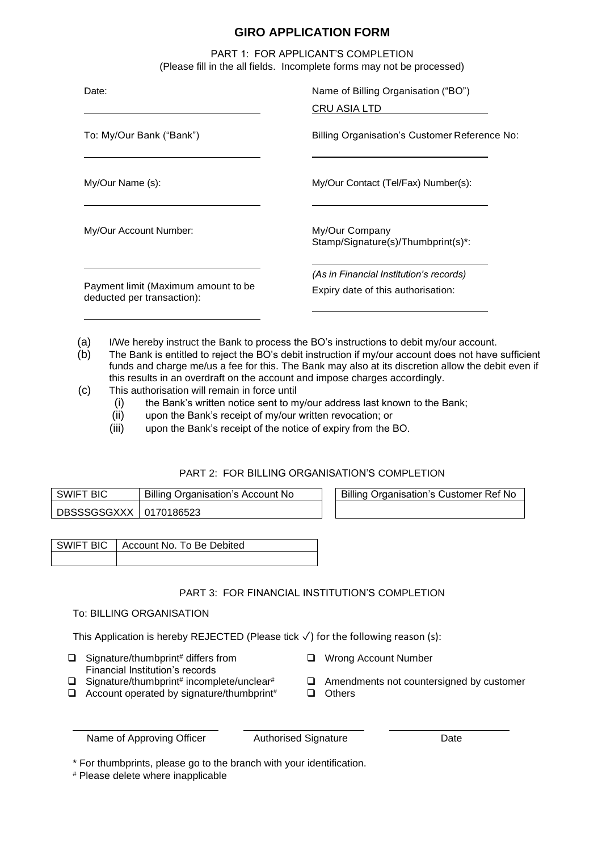# **GIRO APPLICATION FORM**

PART 1: FOR APPLICANT'S COMPLETION (Please fill in the all fields. Incomplete forms may not be processed)

| Date:                                                             | Name of Billing Organisation ("BO")                                           |  |
|-------------------------------------------------------------------|-------------------------------------------------------------------------------|--|
|                                                                   | CRU ASIA LTD                                                                  |  |
| To: My/Our Bank ("Bank")                                          | Billing Organisation's Customer Reference No:                                 |  |
| My/Our Name (s):                                                  | My/Our Contact (Tel/Fax) Number(s):                                           |  |
| My/Our Account Number:                                            | My/Our Company<br>Stamp/Signature(s)/Thumbprint(s)*:                          |  |
| Payment limit (Maximum amount to be<br>deducted per transaction): | (As in Financial Institution's records)<br>Expiry date of this authorisation: |  |
|                                                                   |                                                                               |  |

- (a) I/We hereby instruct the Bank to process the BO's instructions to debit my/our account.
- (b) The Bank is entitled to reject the BO's debit instruction if my/our account does not have sufficient funds and charge me/us a fee for this. The Bank may also at its discretion allow the debit even if this results in an overdraft on the account and impose charges accordingly.
- (c) This authorisation will remain in force until
	- (i) the Bank's written notice sent to my/our address last known to the Bank;
	- (ii) upon the Bank's receipt of my/our written revocation; or
	- (iii) upon the Bank's receipt of the notice of expiry from the BO.

## PART 2: FOR BILLING ORGANISATION'S COMPLETION

| " BIC<br>Billing Organisation's Account No<br>SWIF <sup>-</sup> |  | <b>Billing Organisation's Customer Ref No</b> |
|-----------------------------------------------------------------|--|-----------------------------------------------|
| DBSSSGSGXXX   0170186523                                        |  |                                               |

SWIFT BIC | Account No. To Be Debited

## PART 3: FOR FINANCIAL INSTITUTION'S COMPLETION

### To: BILLING ORGANISATION

This Application is hereby REJECTED (Please tick ✓) for the following reason (s):

- $\Box$  Signature/thumbprint<sup>#</sup> differs from Financial Institution's records
- ❑ Wrong Account Number
- $\Box$  Amendments not countersigned by customer
- $\Box$  Signature/thumbprint# incomplete/unclear# ❑ Account operated by signature/thumbprint# ❑ Others
	- Name of Approving Officer Authorised Signature Date

\* For thumbprints, please go to the branch with your identification.

 $\mathbf{r}$ 

# Please delete where inapplicable